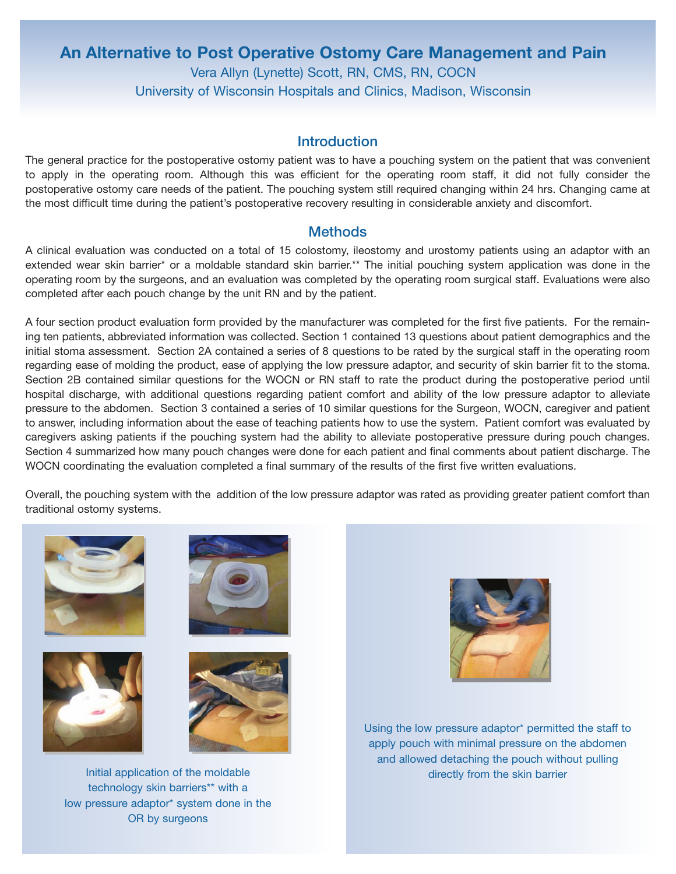# **An Alternative to Post Operative Ostomy Care Management and Pain** Vera Allyn (Lynette) Scott, RN, CMS, RN, COCN University of Wisconsin Hospitals and Clinics, Madison, Wisconsin

### **Introduction**

The general practice for the postoperative ostomy patient was to have a pouching system on the patient that was convenient to apply in the operating room. Although this was efficient for the operating room staff, it did not fully consider the postoperative ostomy care needs of the patient. The pouching system still required changing within 24 hrs. Changing came at the most difficult time during the patient's postoperative recovery resulting in considerable anxiety and discomfort.

#### **Methods**

A clinical evaluation was conducted on a total of 15 colostomy, ileostomy and urostomy patients using an adaptor with an extended wear skin barrier\* or a moldable standard skin barrier.\*\* The initial pouching system application was done in the operating room by the surgeons, and an evaluation was completed by the operating room surgical staff. Evaluations were also completed after each pouch change by the unit RN and by the patient.

A four section product evaluation form provided by the manufacturer was completed for the first five patients. For the remaining ten patients, abbreviated information was collected. Section 1 contained 13 questions about patient demographics and the initial stoma assessment. Section 2A contained a series of 8 questions to be rated by the surgical staff in the operating room regarding ease of molding the product, ease of applying the low pressure adaptor, and security of skin barrier fit to the stoma. Section 2B contained similar questions for the WOCN or RN staff to rate the product during the postoperative period until hospital discharge, with additional questions regarding patient comfort and ability of the low pressure adaptor to alleviate pressure to the abdomen. Section 3 contained a series of 10 similar questions for the Surgeon, WOCN, caregiver and patient to answer, including information about the ease of teaching patients how to use the system. Patient comfort was evaluated by caregivers asking patients if the pouching system had the ability to alleviate postoperative pressure during pouch changes. Section 4 summarized how many pouch changes were done for each patient and final comments about patient discharge. The WOCN coordinating the evaluation completed a final summary of the results of the first five written evaluations.

Overall, the pouching system with the addition of the low pressure adaptor was rated as providing greater patient comfort than traditional ostomy systems.









Initial application of the moldable technology skin barriers\*\* with a low pressure adaptor\* system done in the OR by surgeons



Using the low pressure adaptor\* permitted the staff to apply pouch with minimal pressure on the abdomen and allowed detaching the pouch without pulling directly from the skin barrier